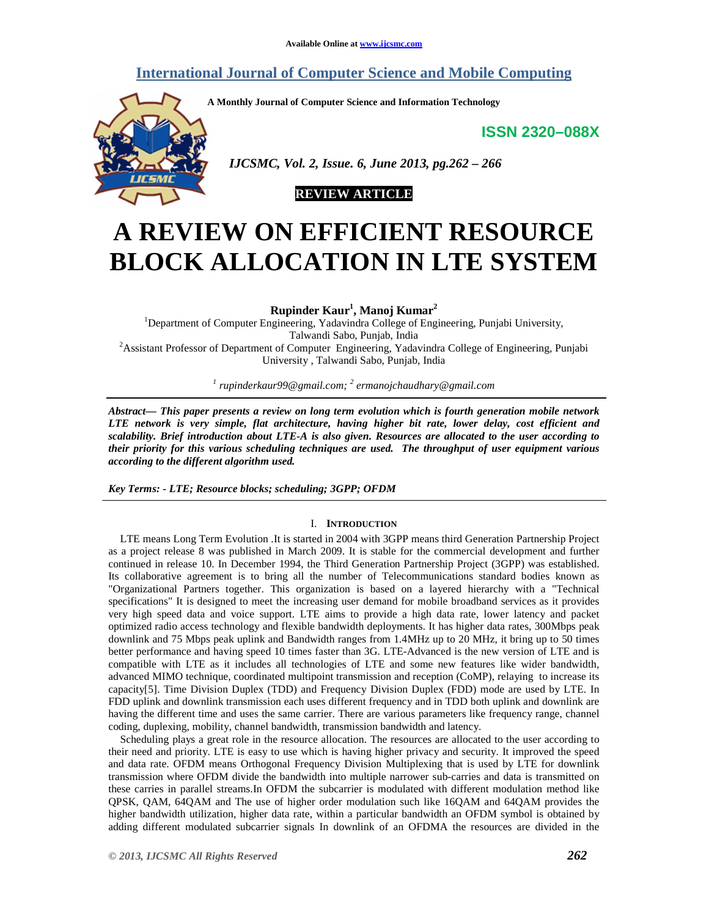# **International Journal of Computer Science and Mobile Computing**

**A Monthly Journal of Computer Science and Information Technology** 

**ISSN 2320–088X**



 *IJCSMC, Vol. 2, Issue. 6, June 2013, pg.262 – 266* 



# **A REVIEW ON EFFICIENT RESOURCE BLOCK ALLOCATION IN LTE SYSTEM**

**Rupinder Kaur<sup>1</sup> , Manoj Kumar<sup>2</sup>**

<sup>1</sup>Department of Computer Engineering, Yadavindra College of Engineering, Punjabi University, Talwandi Sabo, Punjab, India <sup>2</sup>Assistant Professor of Department of Computer Engineering, Yadavindra College of Engineering, Punjabi University , Talwandi Sabo, Punjab, India

*1 rupinderkaur99@gmail.com; <sup>2</sup> ermanojchaudhary@gmail.com*

*Abstract— This paper presents a review on long term evolution which is fourth generation mobile network LTE network is very simple, flat architecture, having higher bit rate, lower delay, cost efficient and scalability. Brief introduction about LTE-A is also given. Resources are allocated to the user according to their priority for this various scheduling techniques are used. The throughput of user equipment various according to the different algorithm used.* 

*Key Terms: - LTE; Resource blocks; scheduling; 3GPP; OFDM* 

### I. **INTRODUCTION**

LTE means Long Term Evolution .It is started in 2004 with 3GPP means third Generation Partnership Project as a project release 8 was published in March 2009. It is stable for the commercial development and further continued in release 10. In December 1994, the Third Generation Partnership Project (3GPP) was established. Its collaborative agreement is to bring all the number of Telecommunications standard bodies known as "Organizational Partners together. This organization is based on a layered hierarchy with a "Technical specifications" It is designed to meet the increasing user demand for mobile broadband services as it provides very high speed data and voice support. LTE aims to provide a high data rate, lower latency and packet optimized radio access technology and flexible bandwidth deployments. It has higher data rates, 300Mbps peak downlink and 75 Mbps peak uplink and Bandwidth ranges from 1.4MHz up to 20 MHz, it bring up to 50 times better performance and having speed 10 times faster than 3G. LTE-Advanced is the new version of LTE and is compatible with LTE as it includes all technologies of LTE and some new features like wider bandwidth, advanced MIMO technique, coordinated multipoint transmission and reception (CoMP), relaying to increase its capacity[5]. Time Division Duplex (TDD) and Frequency Division Duplex (FDD) mode are used by LTE. In FDD uplink and downlink transmission each uses different frequency and in TDD both uplink and downlink are having the different time and uses the same carrier. There are various parameters like frequency range, channel coding, duplexing, mobility, channel bandwidth, transmission bandwidth and latency.

Scheduling plays a great role in the resource allocation. The resources are allocated to the user according to their need and priority. LTE is easy to use which is having higher privacy and security. It improved the speed and data rate. OFDM means Orthogonal Frequency Division Multiplexing that is used by LTE for downlink transmission where OFDM divide the bandwidth into multiple narrower sub-carries and data is transmitted on these carries in parallel streams.In OFDM the subcarrier is modulated with different modulation method like QPSK, QAM, 64QAM and The use of higher order modulation such like 16QAM and 64QAM provides the higher bandwidth utilization, higher data rate, within a particular bandwidth an OFDM symbol is obtained by adding different modulated subcarrier signals In downlink of an OFDMA the resources are divided in the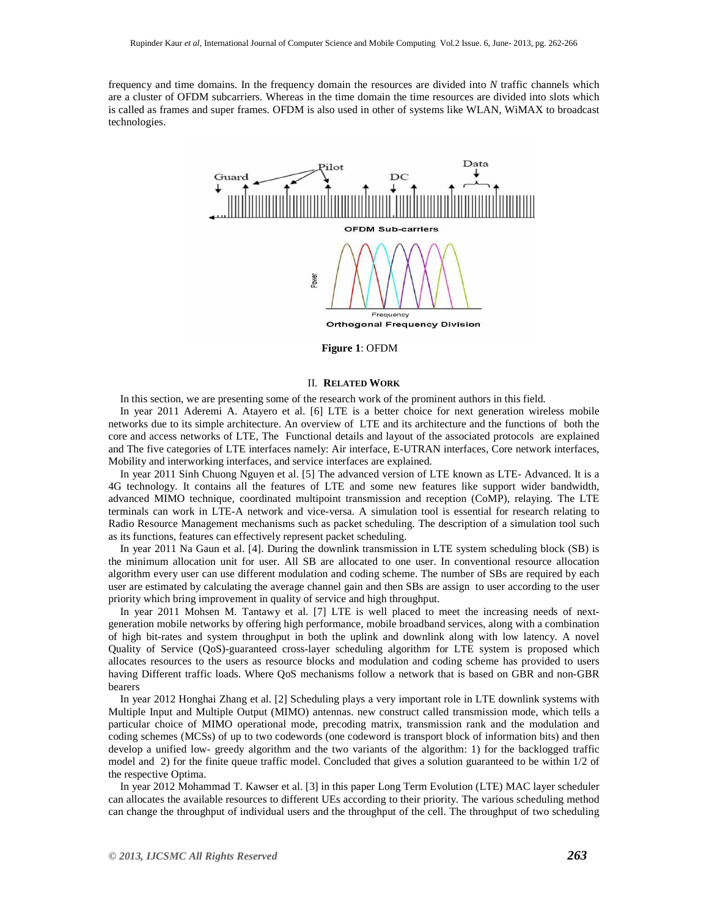frequency and time domains. In the frequency domain the resources are divided into *N* traffic channels which are a cluster of OFDM subcarriers. Whereas in the time domain the time resources are divided into slots which is called as frames and super frames. OFDM is also used in other of systems like WLAN, WiMAX to broadcast technologies.



**Figure 1**: OFDM

# II. **RELATED WORK**

In this section, we are presenting some of the research work of the prominent authors in this field.

In year 2011 Aderemi A. Atayero et al. [6] LTE is a better choice for next generation wireless mobile networks due to its simple architecture. An overview of LTE and its architecture and the functions of both the core and access networks of LTE, The Functional details and layout of the associated protocols are explained and The five categories of LTE interfaces namely: Air interface, E-UTRAN interfaces, Core network interfaces, Mobility and interworking interfaces, and service interfaces are explained.

In year 2011 Sinh Chuong Nguyen et al. [5] The advanced version of LTE known as LTE- Advanced. It is a 4G technology. It contains all the features of LTE and some new features like support wider bandwidth, advanced MIMO technique, coordinated multipoint transmission and reception (CoMP), relaying. The LTE terminals can work in LTE-A network and vice-versa. A simulation tool is essential for research relating to Radio Resource Management mechanisms such as packet scheduling. The description of a simulation tool such as its functions, features can effectively represent packet scheduling.

In year 2011 Na Gaun et al. [4]. During the downlink transmission in LTE system scheduling block (SB) is the minimum allocation unit for user. All SB are allocated to one user. In conventional resource allocation algorithm every user can use different modulation and coding scheme. The number of SBs are required by each user are estimated by calculating the average channel gain and then SBs are assign to user according to the user priority which bring improvement in quality of service and high throughput.

In year 2011 Mohsen M. Tantawy et al. [7] LTE is well placed to meet the increasing needs of nextgeneration mobile networks by offering high performance, mobile broadband services, along with a combination of high bit-rates and system throughput in both the uplink and downlink along with low latency. A novel Quality of Service (QoS)-guaranteed cross-layer scheduling algorithm for LTE system is proposed which allocates resources to the users as resource blocks and modulation and coding scheme has provided to users having Different traffic loads. Where QoS mechanisms follow a network that is based on GBR and non-GBR bearers

In year 2012 Honghai Zhang et al. [2] Scheduling plays a very important role in LTE downlink systems with Multiple Input and Multiple Output (MIMO) antennas. new construct called transmission mode, which tells a particular choice of MIMO operational mode, precoding matrix, transmission rank and the modulation and coding schemes (MCSs) of up to two codewords (one codeword is transport block of information bits) and then develop a unified low- greedy algorithm and the two variants of the algorithm: 1) for the backlogged traffic model and 2) for the finite queue traffic model. Concluded that gives a solution guaranteed to be within 1/2 of the respective Optima.

In year 2012 Mohammad T. Kawser et al. [3] in this paper Long Term Evolution (LTE) MAC layer scheduler can allocates the available resources to different UEs according to their priority. The various scheduling method can change the throughput of individual users and the throughput of the cell. The throughput of two scheduling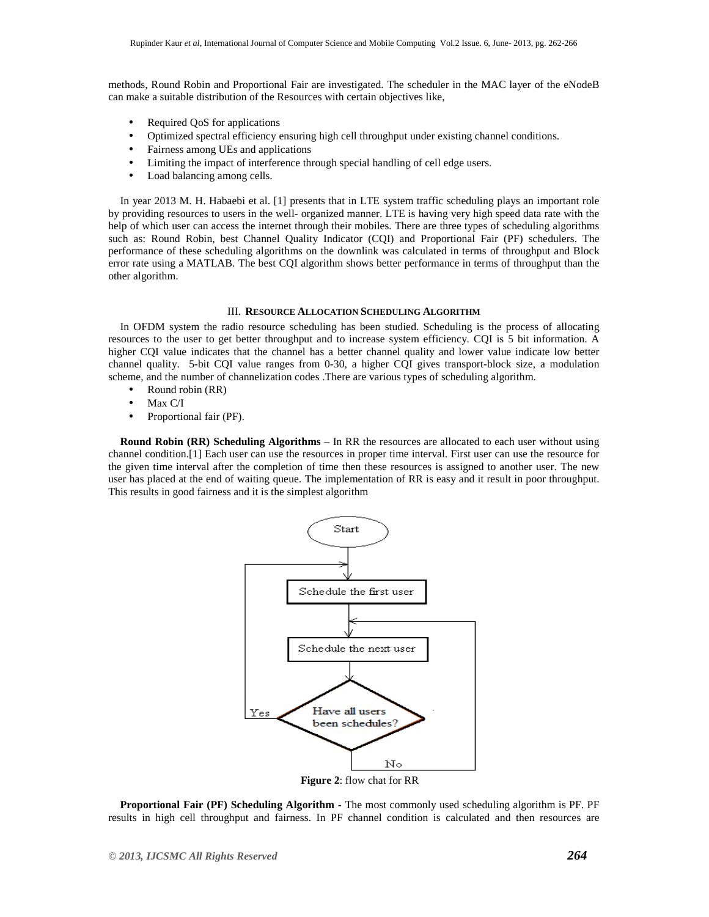methods, Round Robin and Proportional Fair are investigated. The scheduler in the MAC layer of the eNodeB can make a suitable distribution of the Resources with certain objectives like,

- Required OoS for applications
- Optimized spectral efficiency ensuring high cell throughput under existing channel conditions.
- Fairness among UEs and applications
- Limiting the impact of interference through special handling of cell edge users.
- Load balancing among cells.

In year 2013 M. H. Habaebi et al. [1] presents that in LTE system traffic scheduling plays an important role by providing resources to users in the well- organized manner. LTE is having very high speed data rate with the help of which user can access the internet through their mobiles. There are three types of scheduling algorithms such as: Round Robin, best Channel Quality Indicator (CQI) and Proportional Fair (PF) schedulers. The performance of these scheduling algorithms on the downlink was calculated in terms of throughput and Block error rate using a MATLAB. The best CQI algorithm shows better performance in terms of throughput than the other algorithm.

#### III. **RESOURCE ALLOCATION SCHEDULING ALGORITHM**

In OFDM system the radio resource scheduling has been studied. Scheduling is the process of allocating resources to the user to get better throughput and to increase system efficiency. CQI is 5 bit information. A higher CQI value indicates that the channel has a better channel quality and lower value indicate low better channel quality. 5-bit CQI value ranges from 0-30, a higher CQI gives transport-block size, a modulation scheme, and the number of channelization codes .There are various types of scheduling algorithm.

- Round robin (RR)
- Max C/I
- Proportional fair (PF).

**Round Robin (RR) Scheduling Algorithms** – In RR the resources are allocated to each user without using channel condition.[1] Each user can use the resources in proper time interval. First user can use the resource for the given time interval after the completion of time then these resources is assigned to another user. The new user has placed at the end of waiting queue. The implementation of RR is easy and it result in poor throughput. This results in good fairness and it is the simplest algorithm



**Proportional Fair (PF) Scheduling Algorithm -** The most commonly used scheduling algorithm is PF. PF results in high cell throughput and fairness. In PF channel condition is calculated and then resources are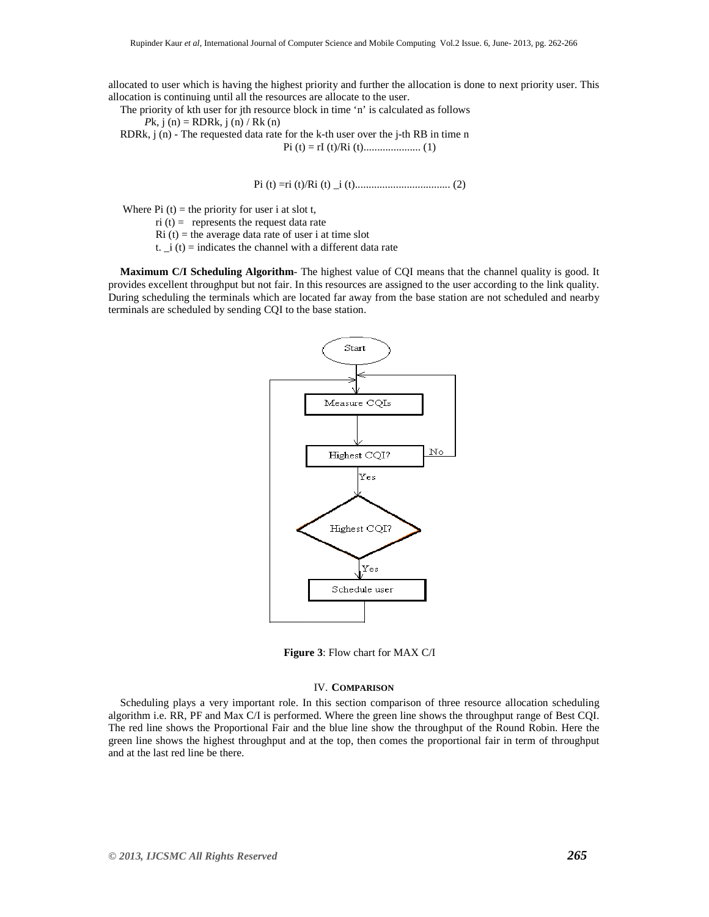allocated to user which is having the highest priority and further the allocation is done to next priority user. This allocation is continuing until all the resources are allocate to the user.

The priority of kth user for jth resource block in time 'n' is calculated as follows  $P$ k, j (n) = RDRk, j (n) / Rk (n) RDRk, j (n) - The requested data rate for the k-th user over the j-th RB in time n Pi (t) = rI (t)/Ri (t)..................... (1)

Pi (t) =ri (t)/Ri (t) \_i (t)................................... (2)

Where Pi  $(t)$  = the priority for user i at slot t,

 $ri (t) =$  represents the request data rate

 $Ri(t)$  = the average data rate of user i at time slot

t.  $\vec{r}$  i (t) = indicates the channel with a different data rate

**Maximum C/I Scheduling Algorithm**- The highest value of CQI means that the channel quality is good. It provides excellent throughput but not fair. In this resources are assigned to the user according to the link quality. During scheduling the terminals which are located far away from the base station are not scheduled and nearby terminals are scheduled by sending CQI to the base station.



**Figure 3**: Flow chart for MAX C/I

#### IV. **COMPARISON**

Scheduling plays a very important role. In this section comparison of three resource allocation scheduling algorithm i.e. RR, PF and Max C/I is performed. Where the green line shows the throughput range of Best CQI. The red line shows the Proportional Fair and the blue line show the throughput of the Round Robin. Here the green line shows the highest throughput and at the top, then comes the proportional fair in term of throughput and at the last red line be there.